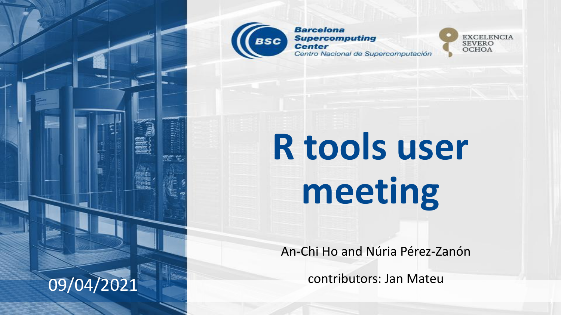

**Barcelona Supercomputing Center** Centro Nacional de Supercomputación



# **R tools user meeting**

An-Chi Ho and Núria Pérez-Zanón

contributors: Jan Mateu

09/04/2021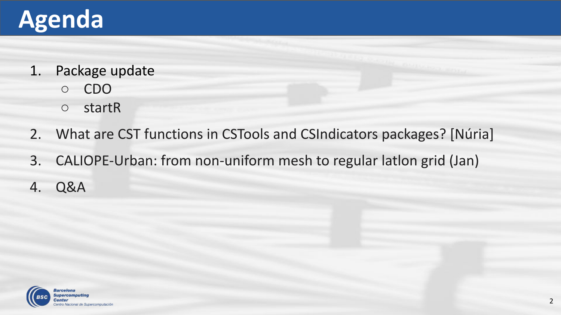## **Agenda**

- 1. Package update
	- CDO
	- startR
- 2. What are CST functions in CSTools and CSIndicators packages? [Núria]
- 3. CALIOPE-Urban: from non-uniform mesh to regular latlon grid (Jan)
- 4. Q&A

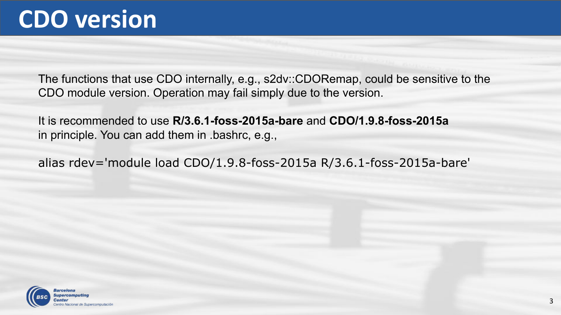The functions that use CDO internally, e.g., s2dv::CDORemap, could be sensitive to the CDO module version. Operation may fail simply due to the version.

It is recommended to use **R/3.6.1-foss-2015a-bare** and **CDO/1.9.8-foss-2015a** in principle. You can add them in .bashrc, e.g.,

alias rdev='module load CDO/1.9.8-foss-2015a R/3.6.1-foss-2015a-bare'

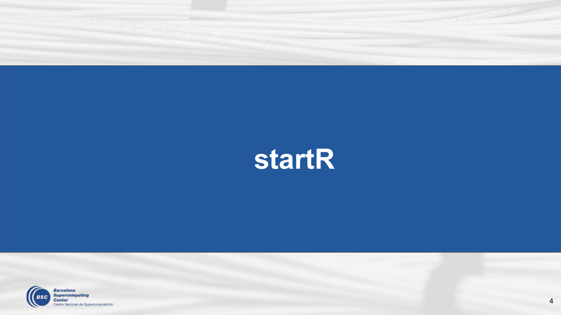

## **startR**

4

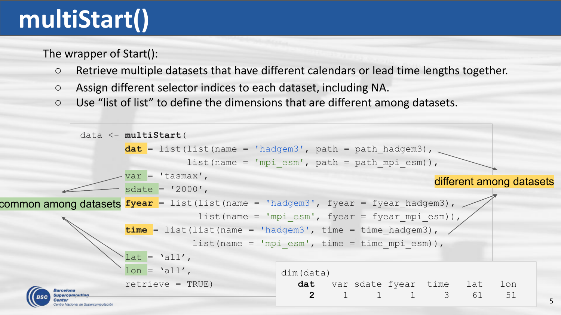## **multiStart()**

The wrapper of Start():

- Retrieve multiple datasets that have different calendars or lead time lengths together.
- Assign different selector indices to each dataset, including NA.
- Use "list of list" to define the dimensions that are different among datasets.

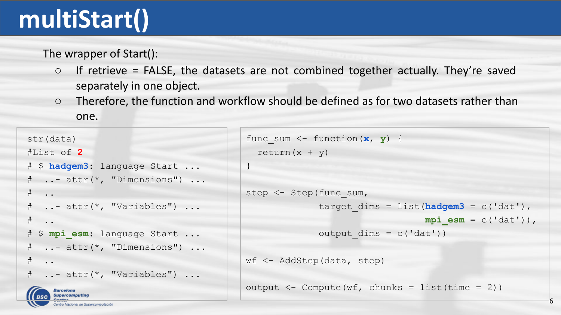## **multiStart()**

The wrapper of Start():

- $\circ$  If retrieve = FALSE, the datasets are not combined together actually. They're saved separately in one object.
- Therefore, the function and workflow should be defined as for two datasets rather than one.

```
str(data)
#List of 2
# $ hadgem3: language Start ...
# ..- attr(*, "Dimensions") ...
\# ..
# ..- attr(*, "Variables") ...
# ..
# $ mpi_esm: language Start ...
# ..- attr(*, "Dimensions") ...
\# ..
# ..- attr(*, "Variables") ...
     Barcelona
```

```
func sum \leq function (\mathbf{x}, \mathbf{y}) {
  return(x + y)}
step <- Step(func_sum,
               target \dim s = \text{list}(\text{hadgem3} = c('dat'),mpi esm = c('dat')),
               output \dim s = c('dat'))wf <- AddStep(data, step)
output \leq Compute(wf, chunks = list(time = 2))
```
6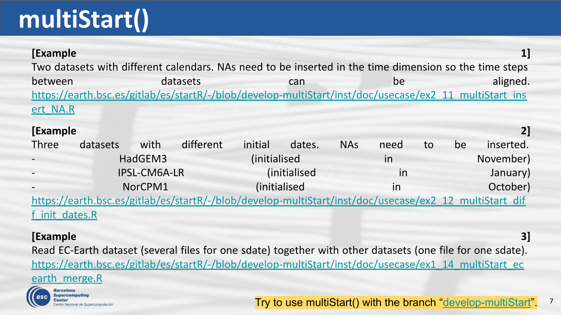## **multiStart()**

| [Example                                                                                                   |          |              | Two datasets with different calendars. NAs need to be inserted in the time dimension so the time steps |              |                      |            |      |    |    | 1         |
|------------------------------------------------------------------------------------------------------------|----------|--------------|--------------------------------------------------------------------------------------------------------|--------------|----------------------|------------|------|----|----|-----------|
| between                                                                                                    |          |              | datasets                                                                                               |              | can                  |            | be   |    |    | aligned.  |
|                                                                                                            |          |              | https://earth.bsc.es/gitlab/es/startR/-/blob/develop-multiStart/inst/doc/usecase/ex2_11_multiStart_ins |              |                      |            |      |    |    |           |
| ert NA.R                                                                                                   |          |              |                                                                                                        |              |                      |            |      |    |    |           |
| [Example                                                                                                   |          |              |                                                                                                        |              |                      |            |      |    |    | 21        |
| <b>Three</b>                                                                                               | datasets | with         | different                                                                                              | initial      | dates.               | <b>NAs</b> | need | to | be | inserted. |
|                                                                                                            |          | HadGEM3      |                                                                                                        | (initialised |                      |            | in   |    |    | November) |
|                                                                                                            |          | IPSL-CM6A-LR |                                                                                                        |              | <i>(initialised)</i> |            | in   |    |    | January)  |
|                                                                                                            |          | NorCPM1      |                                                                                                        | (initialised |                      |            | in   |    |    | October)  |
| https://earth.bsc.es/gitlab/es/startR/-/blob/develop-multiStart/inst/doc/usecase/ex2_12_multiStart_dif     |          |              |                                                                                                        |              |                      |            |      |    |    |           |
| f init dates.R                                                                                             |          |              |                                                                                                        |              |                      |            |      |    |    |           |
| [Example<br>31                                                                                             |          |              |                                                                                                        |              |                      |            |      |    |    |           |
| Read EC-Earth dataset (several files for one sdate) together with other datasets (one file for one sdate). |          |              |                                                                                                        |              |                      |            |      |    |    |           |

[https://earth.bsc.es/gitlab/es/startR/-/blob/develop-multiStart/inst/doc/usecase/ex1\\_14\\_multiStart\\_ec](https://earth.bsc.es/gitlab/es/startR/-/blob/develop-multiStart/inst/doc/usecase/ex1_14_multiStart_ecearth_merge.R)

#### earth merge.R



Try to use multiStart() with the branch "[develop-multiStart](https://earth.bsc.es/gitlab/es/startR/-/tree/develop-multiStart)". 7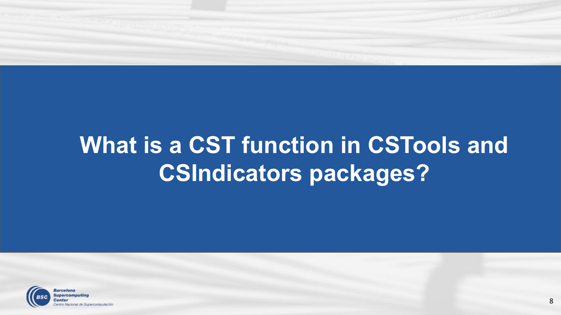

### **What is a CST function in CSTools and CSIndicators packages?**

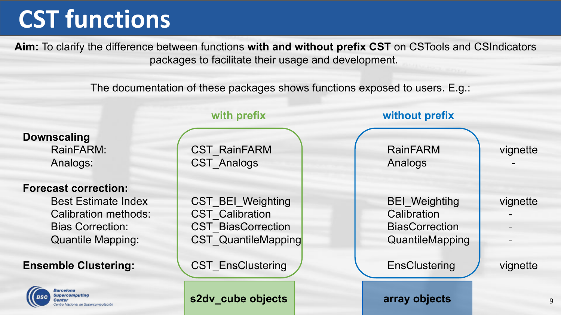**Aim:** To clarify the difference between functions **with and without prefix CST** on CSTools and CSIndicators packages to facilitate their usage and development.

The documentation of these packages shows functions exposed to users. E.g.:

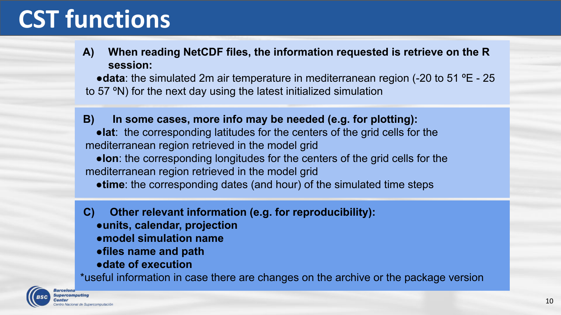#### **A) When reading NetCDF files, the information requested is retrieve on the R session:**

●**data**: the simulated 2m air temperature in mediterranean region (-20 to 51 ºE - 25 to 57 ºN) for the next day using the latest initialized simulation

 **B) In some cases, more info may be needed (e.g. for plotting):** ●**lat**: the corresponding latitudes for the centers of the grid cells for the mediterranean region retrieved in the model grid ●**lon**: the corresponding longitudes for the centers of the grid cells for the mediterranean region retrieved in the model grid ●**time**: the corresponding dates (and hour) of the simulated time steps

**C) Other relevant information (e.g. for reproducibility):** ●**units, calendar, projection ●model simulation name** ●**files name and path** ●**date of execution**

\*useful information in case there are changes on the archive or the package version

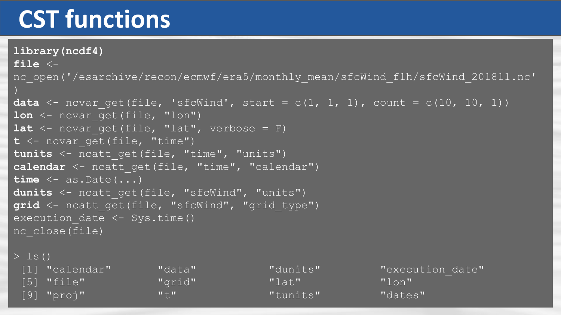**library(ncdf4) file** < nc\_open('/esarchive/recon/ecmwf/era5/monthly\_mean/sfcWind\_f1h/sfcWind\_201811.nc' **data**  $\leq$  ncvar get(file, 'sfcWind', start = c(1, 1, 1), count = c(10, 10, 1))

```
1on <- ncvar get(file, "lon")
lat \leq ncvar get(file, "lat", verbose = F)
t <- ncvar_get(file, "time")
tunits <- ncatt_get(file, "time", "units")
calendar <- ncatt qet(file, "time", "calendar")
time <- as.Date(...)
dunits <- ncatt get(file, "sfcWind", "units")
grid <- ncatt_get(file, "sfcWind", "grid_type")
execution date \leq Sys.time()
nc_close(file)
```
 $>$  ls()

| [1] "calendar" | "data"                    | "dunits" | "execut |
|----------------|---------------------------|----------|---------|
| $[5]$ "file"   | "grid"                    | $"1a+"$  | "lon"   |
| $[9]$ "proj"   | $\mathbf{w} + \mathbf{w}$ | Wtunits" | "dates" |

"dunits" "execution date"

11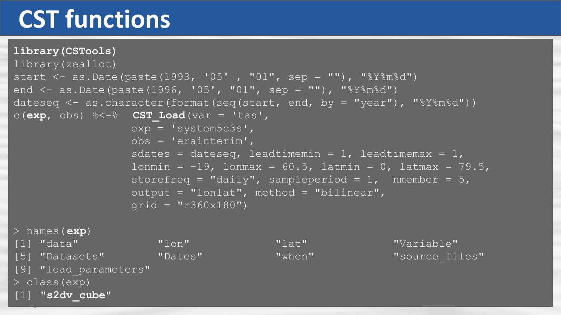#### **library(CSTools)** library(zeallot) start  $\leq$  as. Date (paste (1993, '05', "01", sep = ""), "%Y%m%d") end  $\leq$  as. Date (paste (1996, '05', "01", sep = ""), "%Y%m%d") dateseq  $\leq$  as.character(format(seq(start, end, by = "year"), "%Y%m%d")) c(**exp**, obs) %<-% **CST\_Load**(var = 'tas',  $exp = 'system5c3s'$ , obs = 'erainterim', sdates = dateseq, leadtimemin = 1, leadtimemax = 1, lonmin =  $-19$ , lonmax =  $60.5$ , latmin = 0, latmax = 79.5, storefreq = "daily", sampleperiod =  $1$ , nmember =  $5$ , output = "lonlat", method = "bilinear",  $grid = "r360x180")$

> names(**exp**)

[1] "data" "lon" "lat" "Variable" [5] "Datasets" "Dates" "when" "when" "source files" [9] "load parameters"

12

> class(exp) [1] **"s2dv\_cube"**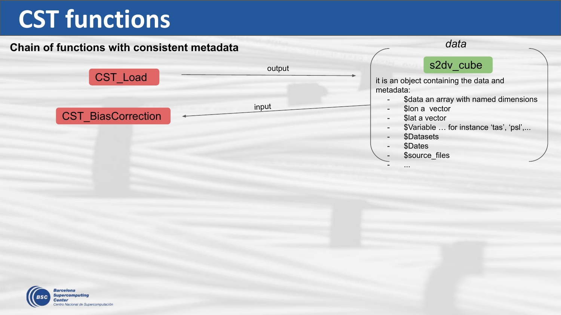#### **Chain of functions with consistent metadata**



- ...

*data*

**Barcelona** Supercomputing Center entro Nacional de Supercomputación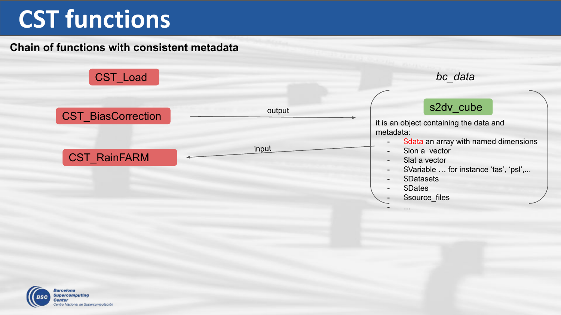#### **Chain of functions with consistent metadata**



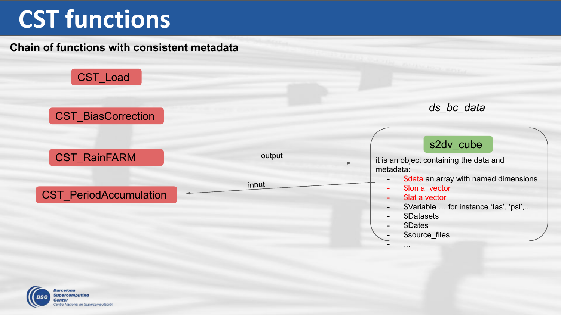#### **Chain of functions with consistent metadata**



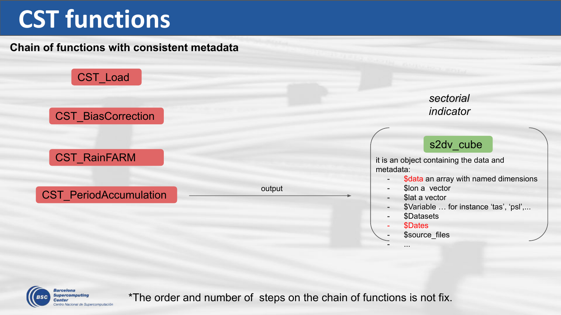#### **Chain of functions with consistent metadata**





\*The order and number of steps on the chain of functions is not fix.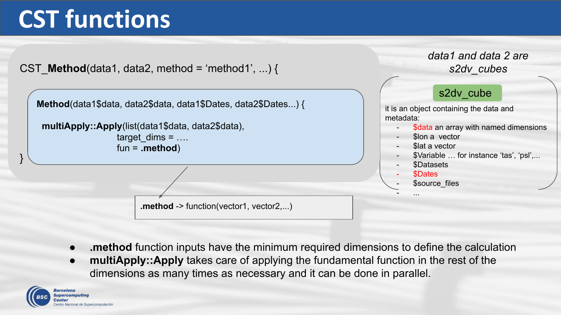

- **.method** function inputs have the minimum required dimensions to define the calculation
- **multiApply::Apply** takes care of applying the fundamental function in the rest of the dimensions as many times as necessary and it can be done in parallel.

Rercelona innal de Supercomputación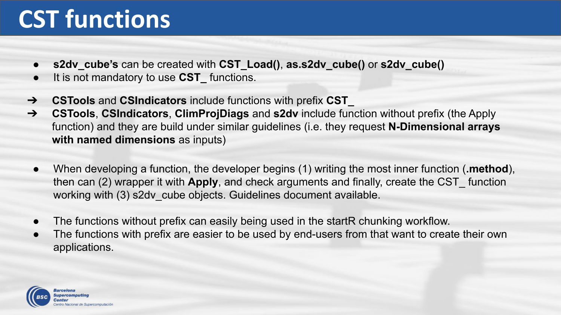- **● s2dv\_cube's** can be created with **CST\_Load()**, **as.s2dv\_cube()** or **s2dv\_cube()**
- It is not mandatory to use **CST\_** functions.
- ➔ **CSTools** and **CSIndicators** include functions with prefix **CST\_**
- ➔ **CSTools**, **CSIndicators**, **ClimProjDiags** and **s2dv** include function without prefix (the Apply function) and they are build under similar guidelines (i.e. they request **N-Dimensional arrays with named dimensions** as inputs)
	- When developing a function, the developer begins (1) writing the most inner function (**.method**), then can (2) wrapper it with **Apply**, and check arguments and finally, create the CST\_ function working with (3) s2dv cube objects. Guidelines document available.
	- The functions without prefix can easily being used in the startR chunking workflow.
	- The functions with prefix are easier to be used by end-users from that want to create their own applications.

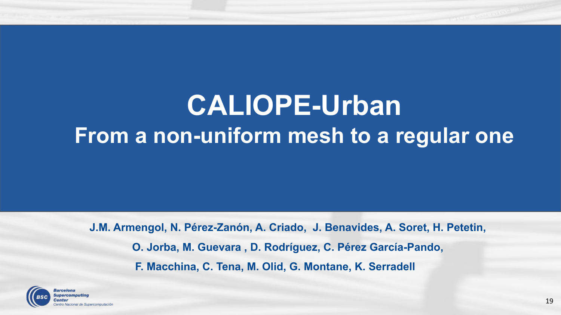



## **CALIOPE-Urban From a non-uniform mesh to a regular one**

**J.M. Armengol, N. Pérez-Zanón, A. Criado, J. Benavides, A. Soret, H. Petetin, O. Jorba, M. Guevara , D. Rodríguez, C. Pérez García-Pando, F. Macchina, C. Tena, M. Olid, G. Montane, K. Serradell**

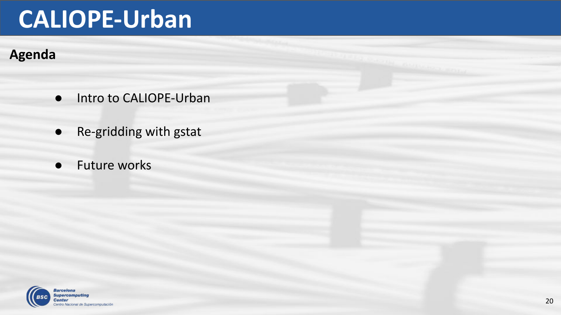### **Agenda**

- Intro to CALIOPE-Urban
- Re-gridding with gstat
- Future works

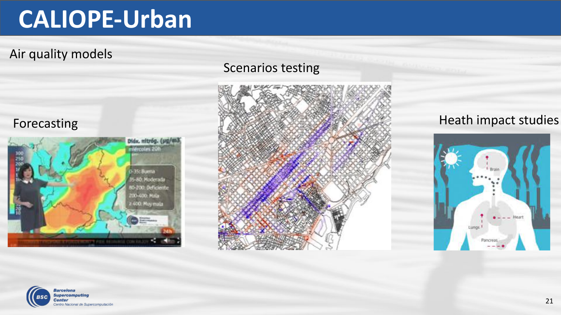### Air quality models

### Forecasting



### Scenarios testing



### Heath impact studies



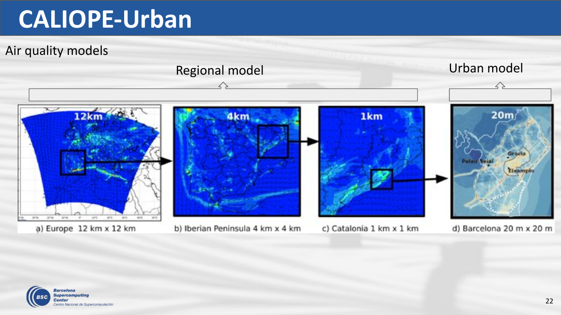Air quality models



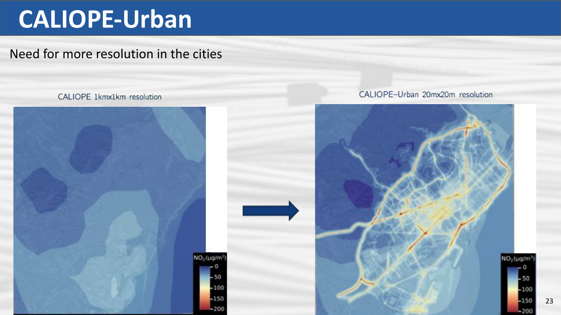### Need for more resolution in the cities

#### CALIOPE 1kmx1km resolution



#### CALIOPE-Urban 20mx20m resolution

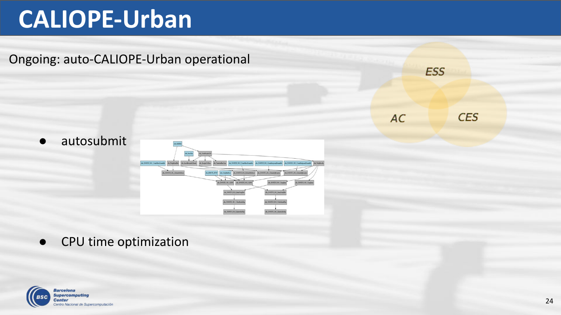

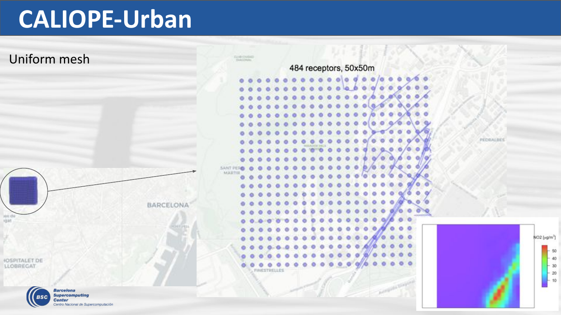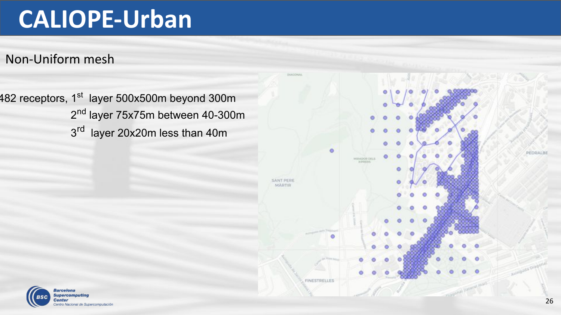Non-Uniform mesh

482 receptors, 1<sup>st</sup> layer 500x500m beyond 300m 2<sup>nd</sup> layer 75x75m between 40-300m 3<sup>rd</sup> layer 20x20m less than 40m





PEDRALBI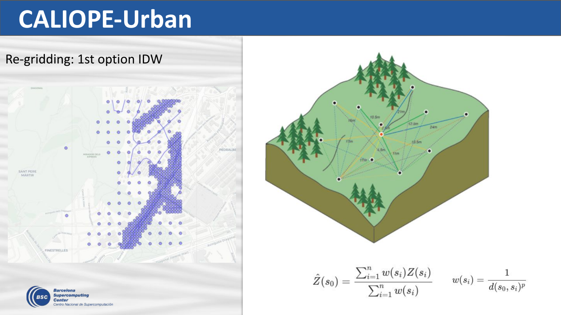

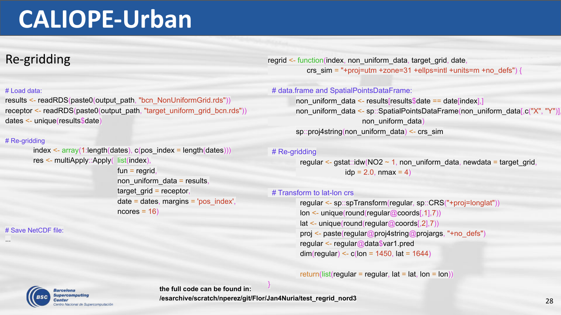### Re-gridding

#### # Load data:

results <- readRDS(paste0(output\_path, "bcn\_NonUniformGrid.rds")) receptor <- readRDS(paste0(output\_path, "target\_uniform\_grid\_bcn.rds")) dates <- unique(results\$date)

#### # Re-gridding

```
index < -array(1:length(dataes), c(pos_index = length(dataes)))res <- multiApply::Apply( list(index),
                          fun = regrid.
                           non uniform data = results,
                           target grid = receptor,
```
 $ncores = 16$ 

date = dates, margins = 'pos\_index',

# Save NetCDF file:

...

regrid <- function(index, non\_uniform\_data, target\_grid, date, crs\_sim = "+proj=utm +zone=31 +ellps=intl +units=m +no\_defs") {

#### # data.frame and SpatialPointsDataFrame:

non\_uniform\_data <- results[results\$date == date[index],] non\_uniform\_data <- sp::SpatialPointsDataFrame(non\_uniform\_data[,c("X", "Y")] non uniform data sp::proj4string(non\_uniform\_data) <- crs\_sim

#### # Re-gridding

regular <- gstat::idw(NO2  $\sim$  1, non\_uniform\_data, newdata = target\_grid,  $idp = 2.0$ , nmax = 4)

#### # Transform to lat-lon crs

 regular <- sp::spTransform(regular, sp::CRS("+proj=longlat")) lon <- unique(round(regular@coords[,1],7)) lat <- unique(round(regular@coords[,2],7)) proj <- paste(regular@proj4string@projargs, "+no\_defs") regular <- regular@data\$var1.pred dim(regular) <-  $c$ (lon = 1450, lat = 1644)

return(list(regular = regular, lat = lat, lon = lon))



**the full code can be found in: /esarchive/scratch/nperez/git/Flor/Jan4Nuria/test\_regrid\_nord3** }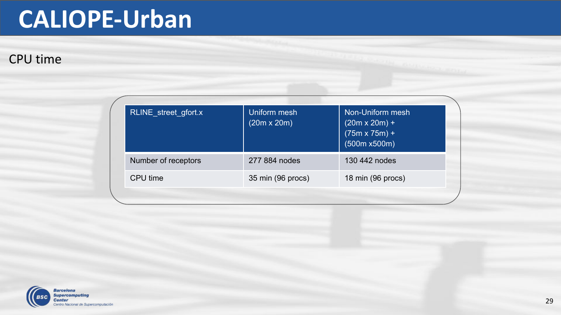### CPU time

| RLINE street gfort.x | Uniform mesh<br>$(20m \times 20m)$ | Non-Uniform mesh<br>$(20m \times 20m) +$<br>$(75m \times 75m) +$<br>(500m x500m) |
|----------------------|------------------------------------|----------------------------------------------------------------------------------|
| Number of receptors  | 277 884 nodes                      | 130 442 nodes                                                                    |
| CPU time             | 35 min (96 procs)                  | 18 min (96 procs)                                                                |

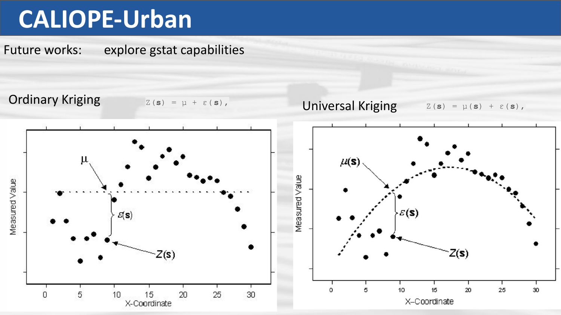Future works: explore gstat capabilities

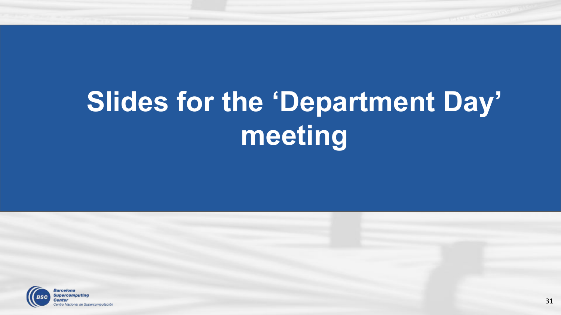

cional de Supercomputación

# **Slides for the 'Department Day' meeting**

#### 31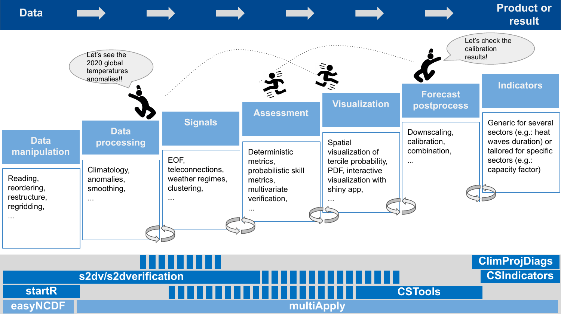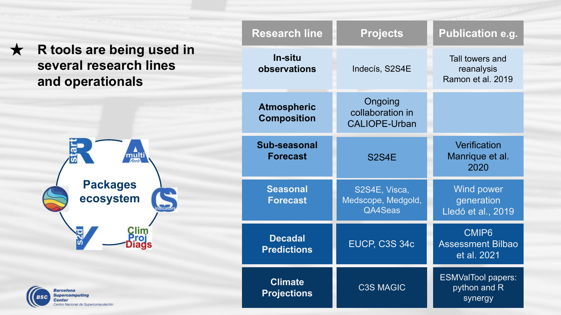|                                                                             | <b>Research line</b>                     | <b>Projects</b>                                     | <b>Publication e.g.</b>                              |
|-----------------------------------------------------------------------------|------------------------------------------|-----------------------------------------------------|------------------------------------------------------|
| R tools are being used in<br>several research lines<br>and operationals     | In-situ<br>observations                  | Indecís, S2S4E                                      | Tall towers and<br>reanalysis<br>Ramon et al. 2019   |
|                                                                             | <b>Atmospheric</b><br><b>Composition</b> | Ongoing<br>collaboration in<br><b>CALIOPE-Urban</b> |                                                      |
| multi<br>Zon                                                                | Sub-seasonal<br><b>Forecast</b>          | <b>S2S4E</b>                                        | Verification<br>Manrique et al.<br>2020              |
| <b>Packages</b><br>ecosystem                                                | <b>Seasonal</b><br><b>Forecast</b>       | S2S4E, Visca,<br>Medscope, Medgold,<br>QA4Seas      | Wind power<br>generation<br>Lledó et al., 2019       |
|                                                                             | <b>Decadal</b><br><b>Predictions</b>     | <b>EUCP, C3S 34c</b>                                | CMIP6<br><b>Assessment Bilbao</b><br>et al. 2021     |
| <b>Barcelona</b><br><b>Supercomputing</b><br>o Nacional de Supercomputación | <b>Climate</b><br><b>Projections</b>     | <b>C3S MAGIC</b>                                    | <b>ESMValTool papers:</b><br>python and R<br>synergy |